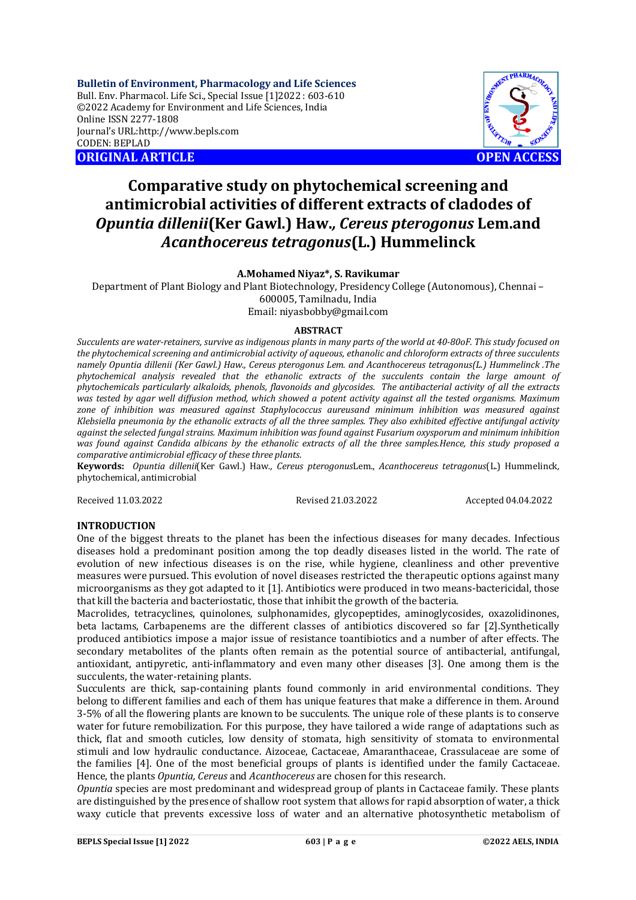**Bulletin of Environment, Pharmacology and Life Sciences** Bull. Env. Pharmacol. Life Sci., Special Issue [1]2022 : 603-610 ©2022 Academy for Environment and Life Sciences, India Online ISSN 2277-1808 Journal's URL:<http://www.bepls.com> CODEN: BEPLAD **ORIGINAL ARTICLE OPEN ACCESS** 

# **Comparative study on phytochemical screening and antimicrobial activities of different extracts of cladodes of**  *Opuntia dillenii***(Ker Gawl.) Haw.***, Cereus pterogonus* **Lem.and**  *Acanthocereus tetragonus***(L.) Hummelinck**

### **A.Mohamed Niyaz\*, S. Ravikumar**

Department of Plant Biology and Plant Biotechnology, Presidency College (Autonomous), Chennai – 600005, Tamilnadu, India Email: [niyasbobby@gmail.com](mailto:niyasbobby@gmail.com)

#### **ABSTRACT**

*Succulents are water-retainers, survive as indigenous plants in many parts of the world at 40-80oF. This study focused on the phytochemical screening and antimicrobial activity of aqueous, ethanolic and chloroform extracts of three succulents namely Opuntia dillenii (Ker Gawl.) Haw., Cereus pterogonus Lem. and Acanthocereus tetragonus(L.) Hummelinck .The phytochemical analysis revealed that the ethanolic extracts of the succulents contain the large amount of phytochemicals particularly alkaloids, phenols, flavonoids and glycosides. The antibacterial activity of all the extracts was tested by agar well diffusion method, which showed a potent activity against all the tested organisms. Maximum zone of inhibition was measured against Staphylococcus aureusand minimum inhibition was measured against Klebsiella pneumonia by the ethanolic extracts of all the three samples. They also exhibited effective antifungal activity against the selected fungal strains. Maximum inhibition was found against Fusarium oxysporum and minimum inhibition was found against Candida albicans by the ethanolic extracts of all the three samples.Hence, this study proposed a comparative antimicrobial efficacy of these three plants.*

**Keywords:** *Opuntia dillenii*(Ker Gawl.) Haw*., Cereus pterogonus*Lem., *Acanthocereus tetragonus*(L.) Hummelinck*,*  phytochemical, antimicrobial

Received 11.03.2022 Revised 21.03.2022 Accepted 04.04.2022

### **INTRODUCTION**

One of the biggest threats to the planet has been the infectious diseases for many decades. Infectious diseases hold a predominant position among the top deadly diseases listed in the world. The rate of evolution of new infectious diseases is on the rise, while hygiene, cleanliness and other preventive measures were pursued. This evolution of novel diseases restricted the therapeutic options against many microorganisms as they got adapted to it [1]. Antibiotics were produced in two means-bactericidal, those that kill the bacteria and bacteriostatic, those that inhibit the growth of the bacteria.

Macrolides, tetracyclines, quinolones, sulphonamides, glycopeptides, aminoglycosides, oxazolidinones, beta lactams, Carbapenems are the different classes of antibiotics discovered so far [2].Synthetically produced antibiotics impose a major issue of resistance toantibiotics and a number of after effects. The secondary metabolites of the plants often remain as the potential source of antibacterial, antifungal, antioxidant, antipyretic, anti-inflammatory and even many other diseases [3]. One among them is the succulents, the water-retaining plants.

Succulents are thick, sap-containing plants found commonly in arid environmental conditions. They belong to different families and each of them has unique features that make a difference in them. Around 3-5% of all the flowering plants are known to be succulents. The unique role of these plants is to conserve water for future remobilization. For this purpose, they have tailored a wide range of adaptations such as thick, flat and smooth cuticles, low density of stomata, high sensitivity of stomata to environmental stimuli and low hydraulic conductance. Aizoceae, Cactaceae, Amaranthaceae, Crassulaceae are some of the families [4]. One of the most beneficial groups of plants is identified under the family Cactaceae. Hence, the plants *Opuntia, Cereus* and *Acanthocereus* are chosen for this research.

*Opuntia* species are most predominant and widespread group of plants in Cactaceae family. These plants are distinguished by the presence of shallow root system that allows for rapid absorption of water, a thick waxy cuticle that prevents excessive loss of water and an alternative photosynthetic metabolism of

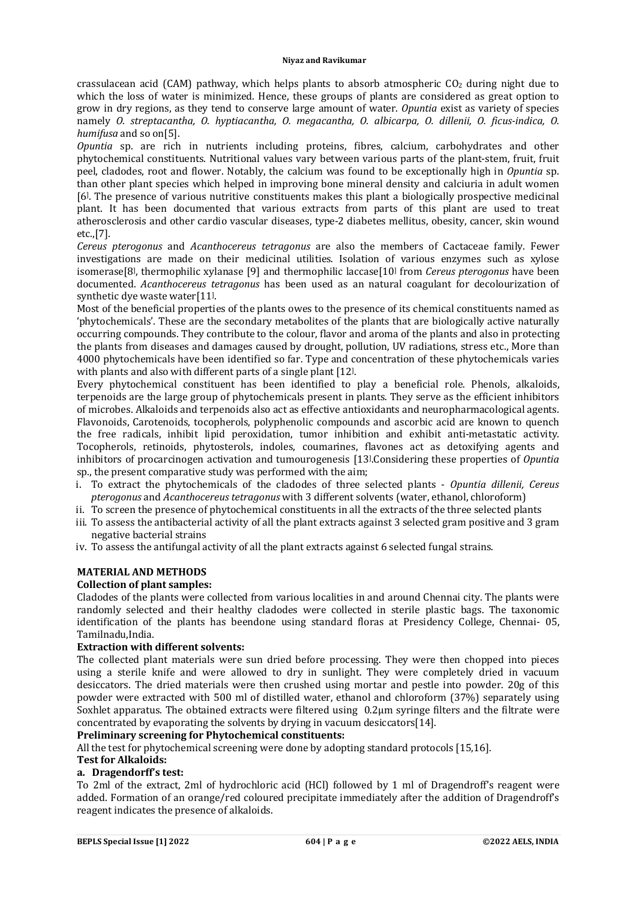crassulacean acid (CAM) pathway, which helps plants to absorb atmospheric  $CO<sub>2</sub>$  during night due to which the loss of water is minimized. Hence, these groups of plants are considered as great option to grow in dry regions, as they tend to conserve large amount of water. *Opuntia* exist as variety of species namely *O. streptacantha, O. hyptiacantha, O. megacantha, O. albicarpa, O. dillenii, O. ficus-indica, O. humifusa* and so on[5].

*Opuntia* sp. are rich in nutrients including proteins, fibres, calcium, carbohydrates and other phytochemical constituents. Nutritional values vary between various parts of the plant-stem, fruit, fruit peel, cladodes, root and flower. Notably, the calcium was found to be exceptionally high in *Opuntia* sp. than other plant species which helped in improving bone mineral density and calciuria in adult women [6] . The presence of various nutritive constituents makes this plant a biologically prospective medicinal plant. It has been documented that various extracts from parts of this plant are used to treat atherosclerosis and other cardio vascular diseases, type-2 diabetes mellitus, obesity, cancer, skin wound etc.,[7].

*Cereus pterogonus* and *Acanthocereus tetragonus* are also the members of Cactaceae family. Fewer investigations are made on their medicinal utilities. Isolation of various enzymes such as xylose isomerase[8] , thermophilic xylanase [9] and thermophilic laccase[10] from *Cereus pterogonus* have been documented. *Acanthocereus tetragonus* has been used as an natural coagulant for decolourization of synthetic dye waste water[11] .

Most of the beneficial properties of the plants owes to the presence of its chemical constituents named as 'phytochemicals'. These are the secondary metabolites of the plants that are biologically active naturally occurring compounds. They contribute to the colour, flavor and aroma of the plants and also in protecting the plants from diseases and damages caused by drought, pollution, UV radiations, stress etc., More than 4000 phytochemicals have been identified so far. Type and concentration of these phytochemicals varies with plants and also with different parts of a single plant [12] .

Every phytochemical constituent has been identified to play a beneficial role. Phenols, alkaloids, terpenoids are the large group of phytochemicals present in plants. They serve as the efficient inhibitors of microbes. Alkaloids and terpenoids also act as effective antioxidants and neuropharmacological agents. Flavonoids, Carotenoids, tocopherols, polyphenolic compounds and ascorbic acid are known to quench the free radicals, inhibit lipid peroxidation, tumor inhibition and exhibit anti-metastatic activity. Tocopherols, retinoids, phytosterols, indoles, coumarines, flavones act as detoxifying agents and inhibitors of procarcinogen activation and tumourogenesis [13] .Considering these properties of *Opuntia*  sp., the present comparative study was performed with the aim;

- i. To extract the phytochemicals of the cladodes of three selected plants *Opuntia dillenii, Cereus pterogonus* and *Acanthocereus tetragonus* with 3 different solvents (water, ethanol, chloroform)
- ii. To screen the presence of phytochemical constituents in all the extracts of the three selected plants
- iii. To assess the antibacterial activity of all the plant extracts against 3 selected gram positive and 3 gram negative bacterial strains
- iv. To assess the antifungal activity of all the plant extracts against 6 selected fungal strains.

### **MATERIAL AND METHODS**

### **Collection of plant samples:**

Cladodes of the plants were collected from various localities in and around Chennai city. The plants were randomly selected and their healthy cladodes were collected in sterile plastic bags. The taxonomic identification of the plants has beendone using standard floras at Presidency College, Chennai- 05, Tamilnadu,India.

### **Extraction with different solvents:**

The collected plant materials were sun dried before processing. They were then chopped into pieces using a sterile knife and were allowed to dry in sunlight. They were completely dried in vacuum desiccators. The dried materials were then crushed using mortar and pestle into powder. 20g of this powder were extracted with 500 ml of distilled water, ethanol and chloroform (37%) separately using Soxhlet apparatus. The obtained extracts were filtered using 0.2µm syringe filters and the filtrate were concentrated by evaporating the solvents by drying in vacuum desiccators[14].

### **Preliminary screening for Phytochemical constituents:**

All the test for phytochemical screening were done by adopting standard protocols [15,16].

### **Test for Alkaloids:**

### **a. Dragendorff's test:**

To 2ml of the extract, 2ml of hydrochloric acid (HCl) followed by 1 ml of Dragendroff's reagent were added. Formation of an orange/red coloured precipitate immediately after the addition of Dragendroff's reagent indicates the presence of alkaloids.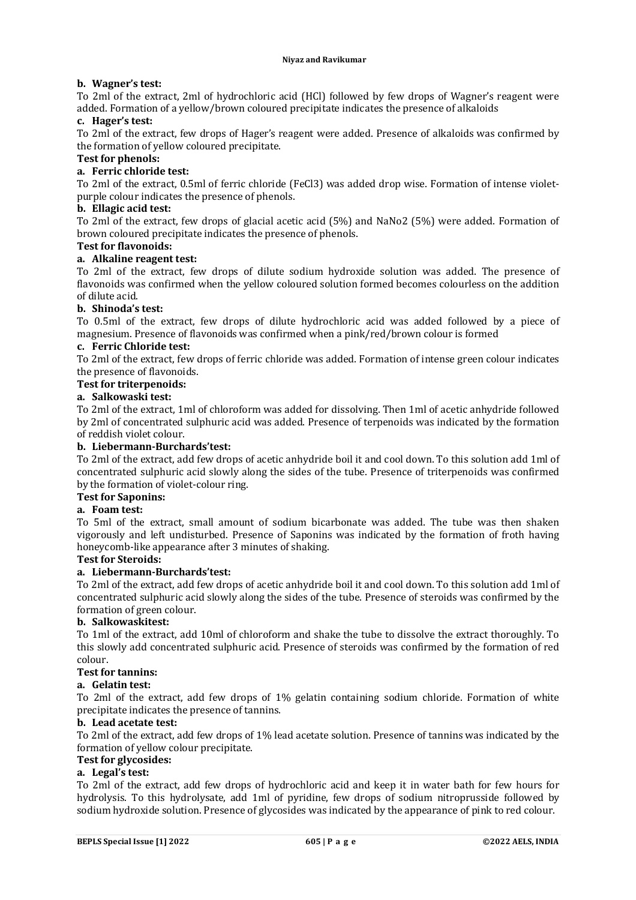### **b. Wagner's test:**

To 2ml of the extract, 2ml of hydrochloric acid (HCl) followed by few drops of Wagner's reagent were added. Formation of a yellow/brown coloured precipitate indicates the presence of alkaloids

### **c. Hager's test:**

To 2ml of the extract, few drops of Hager's reagent were added. Presence of alkaloids was confirmed by the formation of yellow coloured precipitate.

### **Test for phenols:**

### **a. Ferric chloride test:**

To 2ml of the extract, 0.5ml of ferric chloride (FeCl3) was added drop wise. Formation of intense violetpurple colour indicates the presence of phenols.

### **b. Ellagic acid test:**

To 2ml of the extract, few drops of glacial acetic acid (5%) and NaNo2 (5%) were added. Formation of brown coloured precipitate indicates the presence of phenols.

### **Test for flavonoids:**

### **a. Alkaline reagent test:**

To 2ml of the extract, few drops of dilute sodium hydroxide solution was added. The presence of flavonoids was confirmed when the yellow coloured solution formed becomes colourless on the addition of dilute acid.

### **b. Shinoda's test:**

To 0.5ml of the extract, few drops of dilute hydrochloric acid was added followed by a piece of magnesium. Presence of flavonoids was confirmed when a pink/red/brown colour is formed

### **c. Ferric Chloride test:**

To 2ml of the extract, few drops of ferric chloride was added. Formation of intense green colour indicates the presence of flavonoids.

### **Test for triterpenoids:**

### **a. Salkowaski test:**

To 2ml of the extract, 1ml of chloroform was added for dissolving. Then 1ml of acetic anhydride followed by 2ml of concentrated sulphuric acid was added. Presence of terpenoids was indicated by the formation of reddish violet colour.

### **b. Liebermann-Burchards'test:**

To 2ml of the extract, add few drops of acetic anhydride boil it and cool down. To this solution add 1ml of concentrated sulphuric acid slowly along the sides of the tube. Presence of triterpenoids was confirmed by the formation of violet-colour ring.

# **Test for Saponins:**

### **a. Foam test:**

To 5ml of the extract, small amount of sodium bicarbonate was added. The tube was then shaken vigorously and left undisturbed. Presence of Saponins was indicated by the formation of froth having honeycomb-like appearance after 3 minutes of shaking.

### **Test for Steroids:**

### **a. Liebermann-Burchards'test:**

To 2ml of the extract, add few drops of acetic anhydride boil it and cool down. To this solution add 1ml of concentrated sulphuric acid slowly along the sides of the tube. Presence of steroids was confirmed by the formation of green colour.

### **b. Salkowaskitest:**

To 1ml of the extract, add 10ml of chloroform and shake the tube to dissolve the extract thoroughly. To this slowly add concentrated sulphuric acid. Presence of steroids was confirmed by the formation of red colour.

### **Test for tannins:**

### **a. Gelatin test:**

To 2ml of the extract, add few drops of 1% gelatin containing sodium chloride. Formation of white precipitate indicates the presence of tannins.

### **b. Lead acetate test:**

To 2ml of the extract, add few drops of 1% lead acetate solution. Presence of tannins was indicated by the formation of yellow colour precipitate.

# **Test for glycosides:**

## **a. Legal's test:**

To 2ml of the extract, add few drops of hydrochloric acid and keep it in water bath for few hours for hydrolysis. To this hydrolysate, add 1ml of pyridine, few drops of sodium nitroprusside followed by sodium hydroxide solution. Presence of glycosides was indicated by the appearance of pink to red colour.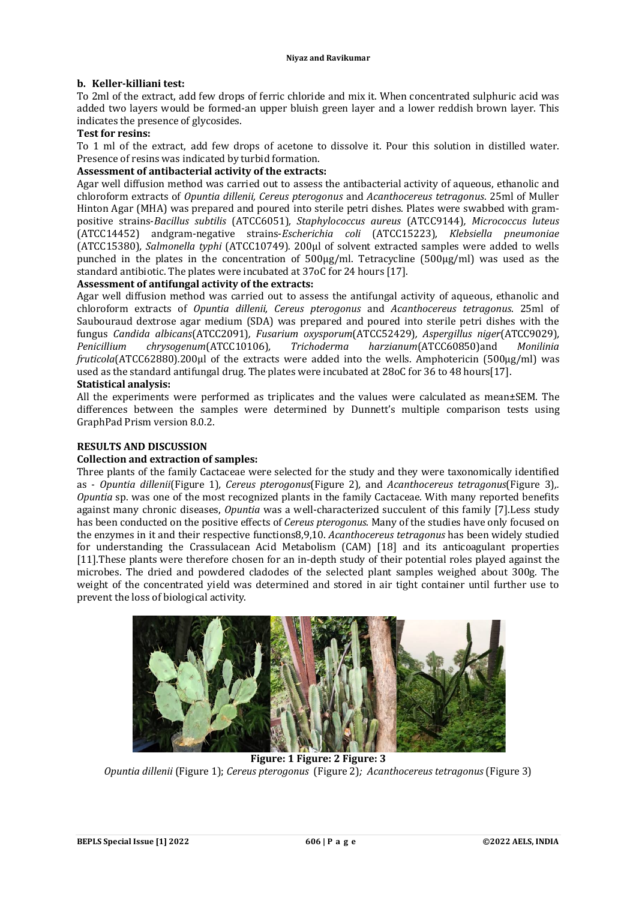### **b. Keller-killiani test:**

To 2ml of the extract, add few drops of ferric chloride and mix it. When concentrated sulphuric acid was added two layers would be formed-an upper bluish green layer and a lower reddish brown layer. This indicates the presence of glycosides.

### **Test for resins:**

To 1 ml of the extract, add few drops of acetone to dissolve it. Pour this solution in distilled water. Presence of resins was indicated by turbid formation.

### **Assessment of antibacterial activity of the extracts:**

Agar well diffusion method was carried out to assess the antibacterial activity of aqueous, ethanolic and chloroform extracts of *Opuntia dillenii, Cereus pterogonus* and *Acanthocereus tetragonus*. 25ml of Muller Hinton Agar (MHA) was prepared and poured into sterile petri dishes. Plates were swabbed with grampositive strains-*Bacillus subtilis* (ATCC6051)*, Staphylococcus aureus* (ATCC9144)*, Micrococcus luteus* (ATCC14452) andgram-negative strains-*Escherichia coli* (ATCC15223)*, Klebsiella pneumoniae* (ATCC15380)*, Salmonella typhi* (ATCC10749)*.* 200µl of solvent extracted samples were added to wells punched in the plates in the concentration of 500µg/ml. Tetracycline (500µg/ml) was used as the standard antibiotic. The plates were incubated at 37oC for 24 hours [17].

### **Assessment of antifungal activity of the extracts:**

Agar well diffusion method was carried out to assess the antifungal activity of aqueous, ethanolic and chloroform extracts of *Opuntia dillenii, Cereus pterogonus* and *Acanthocereus tetragonus*. 25ml of Saubouraud dextrose agar medium (SDA) was prepared and poured into sterile petri dishes with the fungus *Candida albicans*(ATCC2091)*, Fusarium oxysporum*(ATCC52429)*, Aspergillus niger*(ATCC9029)*, Penicillium chrysogenum*(ATCC10106)*, Trichoderma harzianum*(ATCC60850)and *Monilinia fruticola*(ATCC62880)*.*200µl of the extracts were added into the wells. Amphotericin (500µg/ml) was used as the standard antifungal drug. The plates were incubated at 28oC for 36 to 48 hours[17].

### **Statistical analysis:**

All the experiments were performed as triplicates and the values were calculated as mean±SEM. The differences between the samples were determined by Dunnett's multiple comparison tests using GraphPad Prism version 8.0.2.

### **RESULTS AND DISCUSSION**

### **Collection and extraction of samples:**

Three plants of the family Cactaceae were selected for the study and they were taxonomically identified as - *Opuntia dillenii*(Figure 1)*, Cereus pterogonus*(Figure 2)*,* and *Acanthocereus tetragonus*(Figure 3)*,. Opuntia* sp. was one of the most recognized plants in the family Cactaceae. With many reported benefits against many chronic diseases, *Opuntia* was a well-characterized succulent of this family [7].Less study has been conducted on the positive effects of *Cereus pterogonus*. Many of the studies have only focused on the enzymes in it and their respective functions8,9,10. *Acanthocereus tetragonus* has been widely studied for understanding the Crassulacean Acid Metabolism (CAM) [18] and its anticoagulant properties [11].These plants were therefore chosen for an in-depth study of their potential roles played against the microbes. The dried and powdered cladodes of the selected plant samples weighed about 300g. The weight of the concentrated yield was determined and stored in air tight container until further use to prevent the loss of biological activity.



**Figure: 1 Figure: 2 Figure: 3** *Opuntia dillenii* (Figure 1); *Cereus pterogonus* (Figure 2)*; Acanthocereus tetragonus* (Figure 3)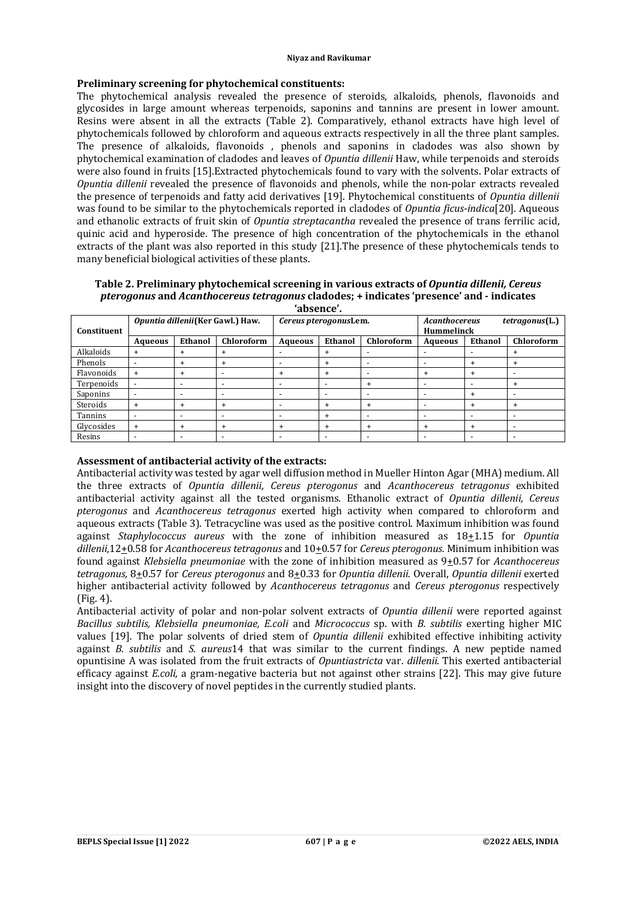#### **Niyaz and Ravikumar**

### **Preliminary screening for phytochemical constituents:**

The phytochemical analysis revealed the presence of steroids, alkaloids, phenols, flavonoids and glycosides in large amount whereas terpenoids, saponins and tannins are present in lower amount. Resins were absent in all the extracts (Table 2). Comparatively, ethanol extracts have high level of phytochemicals followed by chloroform and aqueous extracts respectively in all the three plant samples. The presence of alkaloids, flavonoids , phenols and saponins in cladodes was also shown by phytochemical examination of cladodes and leaves of *Opuntia dillenii* Haw, while terpenoids and steroids were also found in fruits [15].Extracted phytochemicals found to vary with the solvents. Polar extracts of *Opuntia dillenii* revealed the presence of flavonoids and phenols, while the non-polar extracts revealed the presence of terpenoids and fatty acid derivatives [19]. Phytochemical constituents of *Opuntia dillenii*  was found to be similar to the phytochemicals reported in cladodes of *Opuntia ficus-indica*[20]*.* Aqueous and ethanolic extracts of fruit skin of *Opuntia streptacantha* revealed the presence of trans ferrilic acid, quinic acid and hyperoside. The presence of high concentration of the phytochemicals in the ethanol extracts of the plant was also reported in this study [21].The presence of these phytochemicals tends to many beneficial biological activities of these plants.

**Table 2. Preliminary phytochemical screening in various extracts of** *Opuntia dillenii, Cereus pterogonus* **and** *Acanthocereus tetragonus* **cladodes; + indicates 'presence' and - indicates 'absence'.**

| uvjenec 1   |                                   |                          |                          |                          |                          |            |                                                      |                          |                          |  |
|-------------|-----------------------------------|--------------------------|--------------------------|--------------------------|--------------------------|------------|------------------------------------------------------|--------------------------|--------------------------|--|
| Constituent | Opuntia dillenii (Ker Gawl.) Haw. |                          |                          |                          | Cereus pterogonusLem.    |            | tetragonus(L.)<br>Acanthocereus<br><b>Hummelinck</b> |                          |                          |  |
|             | Aqueous                           | Ethanol                  | Chloroform               | <b>Aqueous</b>           | Ethanol                  | Chloroform | Aqueous                                              | Ethanol                  | Chloroform               |  |
| Alkaloids   |                                   | $\overline{+}$           |                          |                          | $\ddot{}$                |            |                                                      |                          |                          |  |
| Phenols     |                                   | $\ddot{}$                |                          |                          | $\ddot{}$                |            | ٠                                                    | $\ddot{}$                |                          |  |
| Flavonoids  | $\ddot{}$                         | $\ddot{}$                |                          | $\ddot{}$                | $\ddot{}$                |            | $\ddot{}$                                            | $\ddot{}$                |                          |  |
| Terpenoids  |                                   | $\overline{\phantom{0}}$ | $\overline{\phantom{0}}$ | -                        | $\overline{\phantom{0}}$ |            | -                                                    | $\overline{\phantom{0}}$ | +                        |  |
| Saponins    |                                   | -                        |                          | $\overline{\phantom{0}}$ | $\overline{\phantom{0}}$ |            | -                                                    | $\ddot{}$                |                          |  |
| Steroids    |                                   | $\ddot{}$                |                          | $\overline{\phantom{0}}$ | $\ddot{}$                |            | -                                                    | $\ddot{}$                |                          |  |
| Tannins     |                                   | -                        |                          | $\overline{\phantom{0}}$ | $\ddot{}$                |            | ۰                                                    | $\overline{\phantom{0}}$ |                          |  |
| Glycosides  | $\ddot{}$                         | $\ddot{}$                |                          | $\ddot{}$                | $\ddot{}$                | $\ddot{}$  | $\ddot{}$                                            | $\ddot{}$                | $\overline{\phantom{0}}$ |  |
| Resins      |                                   | $\,$                     | $\overline{\phantom{0}}$ | -                        | $\overline{\phantom{a}}$ |            | -                                                    | $\overline{\phantom{0}}$ | $\overline{\phantom{0}}$ |  |

### **Assessment of antibacterial activity of the extracts:**

Antibacterial activity was tested by agar well diffusion method in Mueller Hinton Agar (MHA) medium. All the three extracts of *Opuntia dillenii, Cereus pterogonus* and *Acanthocereus tetragonus* exhibited antibacterial activity against all the tested organisms. Ethanolic extract of *Opuntia dillenii, Cereus pterogonus* and *Acanthocereus tetragonus* exerted high activity when compared to chloroform and aqueous extracts (Table 3). Tetracycline was used as the positive control. Maximum inhibition was found against *Staphylococcus aureus* with the zone of inhibition measured as 18+1.15 for *Opuntia dillenii,*12+0.58 for *Acanthocereus tetragonus* and 10+0.57 for *Cereus pterogonus.* Minimum inhibition was found against *Klebsiella pneumoniae* with the zone of inhibition measured as 9+0.57 for *Acanthocereus tetragonus,* 8+0.57 for *Cereus pterogonus* and 8+0.33 for *Opuntia dillenii.* Overall, *Opuntia dillenii* exerted higher antibacterial activity followed by *Acanthocereus tetragonus* and *Cereus pterogonus* respectively (Fig. 4).

Antibacterial activity of polar and non-polar solvent extracts of *Opuntia dillenii* were reported against *Bacillus subtilis, Klebsiella pneumoniae, E.coli* and *Micrococcus* sp. with *B. subtilis* exerting higher MIC values [19]. The polar solvents of dried stem of *Opuntia dillenii* exhibited effective inhibiting activity against *B. subtilis* and *S. aureus*14 that was similar to the current findings. A new peptide named opuntisine A was isolated from the fruit extracts of *Opuntiastricta* var. *dillenii.* This exerted antibacterial efficacy against *E.coli,* a gram-negative bacteria but not against other strains [22]. This may give future insight into the discovery of novel peptides in the currently studied plants.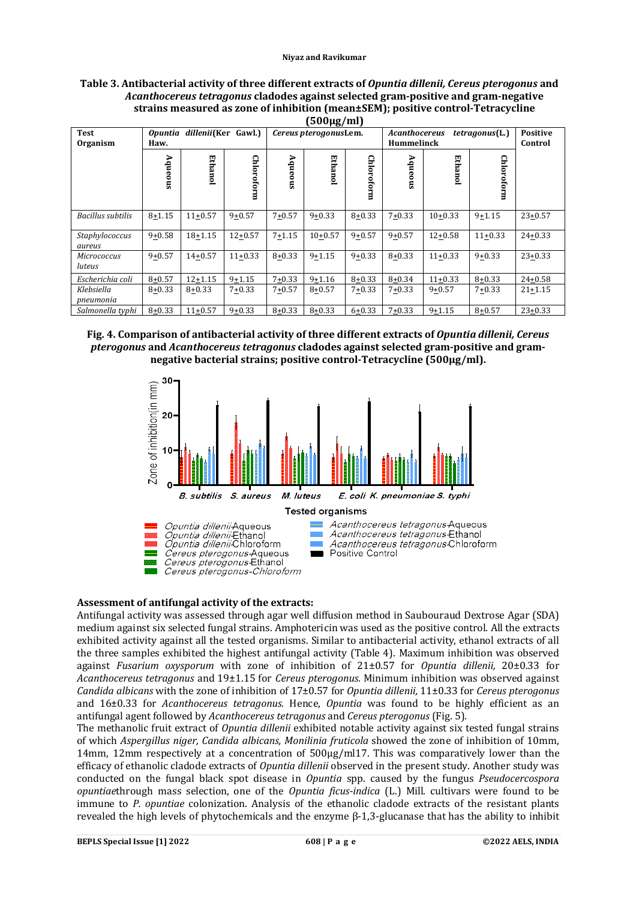**Table 3. Antibacterial activity of three different extracts of** *Opuntia dillenii, Cereus pterogonus* **and**  *Acanthocereus tetragonus* **cladodes against selected gram-positive and gram-negative strains measured as zone of inhibition (mean±SEM); positive control-Tetracycline** 

| $(500 \mu g/ml)$             |                                                      |                 |             |                       |            |            |                                           |                            |            |             |
|------------------------------|------------------------------------------------------|-----------------|-------------|-----------------------|------------|------------|-------------------------------------------|----------------------------|------------|-------------|
| <b>Test</b><br>Organism      | dillenii(Ker Gawl.)<br><i><b>Opuntia</b></i><br>Haw. |                 |             | Cereus pterogonusLem. |            |            | <b>Acanthocereus</b><br><b>Hummelinck</b> | <b>Positive</b><br>Control |            |             |
|                              | Aqueous                                              | <b>Ethano</b> l | Chloroform  | Aqueous               | Ethanol    | Chloroform | Aqueous                                   | Ethanol                    | Chloroform |             |
| Bacillus subtilis            | $8 + 1.15$                                           | $11+0.57$       | $9 + 0.57$  | $7 + 0.57$            | $9 + 0.33$ | $8 + 0.33$ | $7 + 0.33$                                | $10+0.33$                  | $9 + 1.15$ | $23 + 0.57$ |
| Staphylococcus<br>aureus     | $9 + 0.58$                                           | $18 + 1.15$     | $12 + 0.57$ | $7 + 1.15$            | $10+0.57$  | $9 + 0.57$ | $9 + 0.57$                                | $12 + 0.58$                | $11+0.33$  | $24 + 0.33$ |
| <b>Micrococcus</b><br>luteus | $9 + 0.57$                                           | $14 + 0.57$     | $11+0.33$   | $8 + 0.33$            | $9 + 1.15$ | $9 + 0.33$ | $8 + 0.33$                                | $11+0.33$                  | $9 + 0.33$ | $23 + 0.33$ |
| Escherichia coli             | $8 + 0.57$                                           | $12 + 1.15$     | $9 + 1.15$  | $7 + 0.33$            | $9 + 1.16$ | $8 + 0.33$ | $8 + 0.34$                                | $11+0.33$                  | $8 + 0.33$ | $24 + 0.58$ |
| Klebsiella<br>pneumonia      | $8 + 0.33$                                           | $8 + 0.33$      | $7 + 0.33$  | $7 + 0.57$            | $8 + 0.57$ | $7 + 0.33$ | $7 + 0.33$                                | $9 + 0.57$                 | $7 + 0.33$ | $21 + 1.15$ |
| Salmonella typhi             | $8 + 0.33$                                           | $11+0.57$       | $9 + 0.33$  | $8 + 0.33$            | $8 + 0.33$ | $6 + 0.33$ | $7 + 0.33$                                | $9+1.15$                   | $8 + 0.57$ | $23+0.33$   |





### **Assessment of antifungal activity of the extracts:**

Antifungal activity was assessed through agar well diffusion method in Saubouraud Dextrose Agar (SDA) medium against six selected fungal strains. Amphotericin was used as the positive control. All the extracts exhibited activity against all the tested organisms. Similar to antibacterial activity, ethanol extracts of all the three samples exhibited the highest antifungal activity (Table 4). Maximum inhibition was observed against *Fusarium oxysporum* with zone of inhibition of 21±0.57 for *Opuntia dillenii,* 20±0.33 for *Acanthocereus tetragonus* and 19±1.15 for *Cereus pterogonus.* Minimum inhibition was observed against *Candida albicans* with the zone of inhibition of 17±0.57 for *Opuntia dillenii,* 11±0.33 for *Cereus pterogonus*  and 16±0.33 for *Acanthocereus tetragonus.* Hence, *Opuntia* was found to be highly efficient as an antifungal agent followed by *Acanthocereus tetragonus* and *Cereus pterogonus* (Fig. 5)*.* 

The methanolic fruit extract of *Opuntia dillenii* exhibited notable activity against six tested fungal strains of which *Aspergillus niger, Candida albicans, Monilinia fruticola* showed the zone of inhibition of 10mm, 14mm, 12mm respectively at a concentration of 500µg/ml17. This was comparatively lower than the efficacy of ethanolic cladode extracts of *Opuntia dillenii* observed in the present study. Another study was conducted on the fungal black spot disease in *Opuntia* spp. caused by the fungus *Pseudocercospora opuntiae*through mass selection, one of the *Opuntia ficus-indica* (L.) Mill. cultivars were found to be immune to *P. opuntiae* colonization. Analysis of the ethanolic cladode extracts of the resistant plants revealed the high levels of phytochemicals and the enzyme β-1,3-glucanase that has the ability to inhibit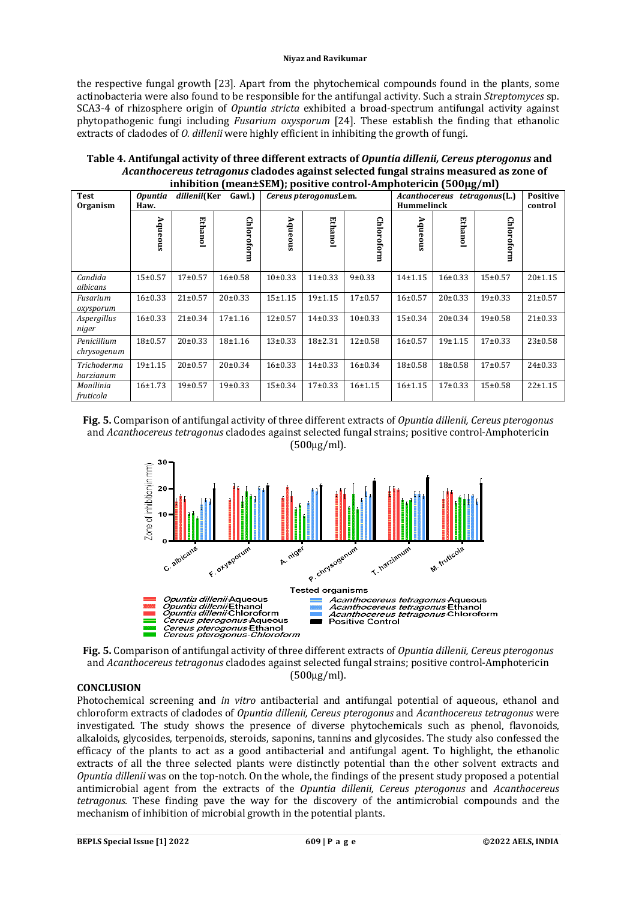#### **Niyaz and Ravikumar**

the respective fungal growth [23]. Apart from the phytochemical compounds found in the plants, some actinobacteria were also found to be responsible for the antifungal activity. Such a strain *Streptomyces* sp. SCA3-4 of rhizosphere origin of *Opuntia stricta* exhibited a broad-spectrum antifungal activity against phytopathogenic fungi including *Fusarium oxysporum* [24]. These establish the finding that ethanolic extracts of cladodes of *O. dillenii* were highly efficient in inhibiting the growth of fungi.

| Table 4. Antifungal activity of three different extracts of Opuntia dillenii, Cereus pterogonus and |
|-----------------------------------------------------------------------------------------------------|
| Acanthocereus tetragonus cladodes against selected fungal strains measured as zone of               |
| inhibition (mean $\pm$ SEM); positive control-Amphotericin (500 $\mu$ g/ml)                         |

| пшилион (шеан±эвм), розните сонн ог Ангрионеттен (эбоде) ни ј |                        |               |                     |               |                       |               |                                                              |               |               |                            |
|---------------------------------------------------------------|------------------------|---------------|---------------------|---------------|-----------------------|---------------|--------------------------------------------------------------|---------------|---------------|----------------------------|
| <b>Test</b><br>Organism                                       | <b>Opuntia</b><br>Haw. |               | dillenii(Ker Gawl.) |               | Cereus pterogonusLem. |               | Acanthocereus<br><i>tetragonus</i> (L.)<br><b>Hummelinck</b> |               |               | <b>Positive</b><br>control |
|                                                               | Aqueous                | Ethanol       | Chloroform          | Aqueous       | <b>Ethanol</b>        | Chloroform    | Aqueous                                                      | Ethanol       | Chloroform    |                            |
| Candida<br>albicans                                           | $15 \pm 0.57$          | $17+0.57$     | 16±0.58             | $10\pm0.33$   | $11\pm0.33$           | 9±0.33        | $14 + 1.15$                                                  | $16 \pm 0.33$ | $15 \pm 0.57$ | $20 \pm 1.15$              |
| Fusarium<br>oxysporum                                         | $16 \pm 0.33$          | $21 \pm 0.57$ | $20 \pm 0.33$       | $15+1.15$     | $19+1.15$             | $17+0.57$     | $16 \pm 0.57$                                                | $20 \pm 0.33$ | 19±0.33       | $21 \pm 0.57$              |
| Aspergillus<br>niger                                          | $16 \pm 0.33$          | $21 \pm 0.34$ | $17+1.16$           | $12 \pm 0.57$ | $14\pm0.33$           | $10\pm0.33$   | $15 \pm 0.34$                                                | $20 \pm 0.34$ | 19±0.58       | $21 \pm 0.33$              |
| Penicillium<br>chrysogenum                                    | $18+0.57$              | $20 \pm 0.33$ | $18 + 1.16$         | $13+0.33$     | $18 + 2.31$           | $12 \pm 0.58$ | $16 + 0.57$                                                  | 19±1.15       | $17\pm0.33$   | $23 \pm 0.58$              |
| Trichoderma<br>harzianum                                      | 19±1.15                | $20 \pm 0.57$ | $20 \pm 0.34$       | 16±0.33       | $14\pm0.33$           | $16 \pm 0.34$ | $18 + 0.58$                                                  | $18+0.58$     | $17+0.57$     | $24 \pm 0.33$              |
| Monilinia<br>fruticola                                        | $16 \pm 1.73$          | $19+0.57$     | 19±0.33             | $15 \pm 0.34$ | $17+0.33$             | 16±1.15       | 16±1.15                                                      | $17\pm0.33$   | $15 \pm 0.58$ | $22 \pm 1.15$              |

**Fig. 5.** Comparison of antifungal activity of three different extracts of *Opuntia dillenii, Cereus pterogonus*  and *Acanthocereus tetragonus* cladodes against selected fungal strains; positive control-Amphotericin (500µg/ml).



**Fig. 5.** Comparison of antifungal activity of three different extracts of *Opuntia dillenii, Cereus pterogonus*  and *Acanthocereus tetragonus* cladodes against selected fungal strains; positive control-Amphotericin (500µg/ml).

### **CONCLUSION**

Photochemical screening and *in vitro* antibacterial and antifungal potential of aqueous, ethanol and chloroform extracts of cladodes of *Opuntia dillenii, Cereus pterogonus* and *Acanthocereus tetragonus* were investigated. The study shows the presence of diverse phytochemicals such as phenol, flavonoids, alkaloids, glycosides, terpenoids, steroids, saponins, tannins and glycosides. The study also confessed the efficacy of the plants to act as a good antibacterial and antifungal agent. To highlight, the ethanolic extracts of all the three selected plants were distinctly potential than the other solvent extracts and *Opuntia dillenii* was on the top-notch. On the whole, the findings of the present study proposed a potential antimicrobial agent from the extracts of the *Opuntia dillenii, Cereus pterogonus* and *Acanthocereus tetragonus.* These finding pave the way for the discovery of the antimicrobial compounds and the mechanism of inhibition of microbial growth in the potential plants.